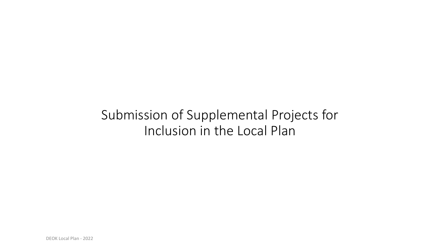# Submission of Supplemental Projects for Inclusion in the Local Plan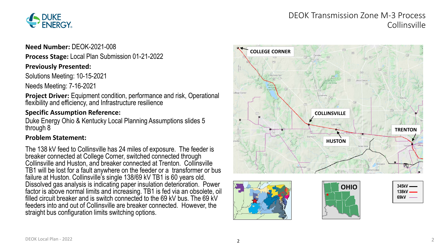

# DEOK Transmission Zone M-3 Process **Collinsville**

**Need Number:** DEOK-2021-008

**Process Stage:** Local Plan Submission 01-21-2022

#### **Previously Presented:**

Solutions Meeting: 10-15-2021

Needs Meeting: 7-16-2021

**Project Driver:** Equipment condition, performance and risk, Operational flexibility and efficiency, and Infrastructure resilience

#### **Specific Assumption Reference:**

Duke Energy Ohio & Kentucky Local Planning Assumptions slides 5 through 8

#### **Problem Statement:**

The 138 kV feed to Collinsville has 24 miles of exposure. The feeder is breaker connected at College Corner, switched connected through Collinsville and Huston, and breaker connected at Trenton. Collinsville TB1 will be lost for a fault anywhere on the feeder or a transformer or bus failure at Huston. Collinsville's single 138/69 kV TB1 is 60 years old. Dissolved gas analysis is indicating paper insulation deterioration. Power factor is above normal limits and increasing. TB1 is fed via an obsolete, oil filled circuit breaker and is switch connected to the 69 kV bus. The 69 kV feeders into and out of Collinsville are breaker connected. However, the straight bus configuration limits switching options.







| $345kV -$ |
|-----------|
| 138kV —   |
| 69kV      |
|           |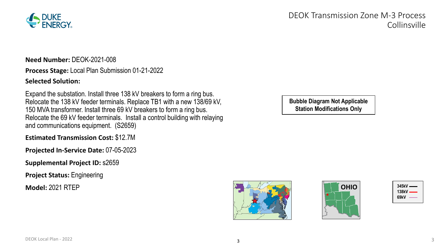

DEOK Transmission Zone M-3 Process Collinsville

**Need Number:** DEOK-2021-008

**Process Stage:** Local Plan Submission 01-21-2022

#### **Selected Solution:**

Expand the substation. Install three 138 kV breakers to form a ring bus. Relocate the 138 kV feeder terminals. Replace TB1 with a new 138/69 kV, 150 MVA transformer. Install three 69 kV breakers to form a ring bus. Relocate the 69 kV feeder terminals. Install a control building with relaying and communications equipment. (S2659)

**Estimated Transmission Cost:** \$12.7M

**Projected In-Service Date:** 07-05-2023

**Supplemental Project ID:** s2659

**Project Status:** Engineering

**Model:** 2021 RTEP

**Bubble Diagram Not Applicable Station Modifications Only**





| $345kV -$ |  |
|-----------|--|
| 138kV ——  |  |
| 69kV      |  |
|           |  |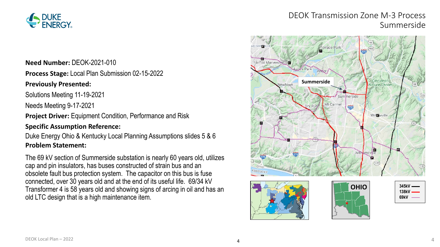

### DEOK Transmission Zone M-3 Process Summerside

# Terrace Park Fairfax Mariemont **Avoca Park** *cincinnati*<br>Vature Center **Summerside** ewtown Mt Carmel 275 Willewville sv<sub>ic</sub> With  $(125)$ **OHIO 345kV 138kV 69kV**

#### **Need Number:** DEOK-2021-010

**Process Stage:** Local Plan Submission 02-15-2022

#### **Previously Presented:**

Solutions Meeting 11-19-2021

Needs Meeting 9-17-2021

**Project Driver:** Equipment Condition, Performance and Risk

#### **Specific Assumption Reference:**

Duke Energy Ohio & Kentucky Local Planning Assumptions slides 5 & 6 **Problem Statement:**

The 69 kV section of Summerside substation is nearly 60 years old, utilizes cap and pin insulators, has buses constructed of strain bus and an obsolete fault bus protection system. The capacitor on this bus is fuse connected, over 30 years old and at the end of its useful life. 69/34 kV Transformer 4 is 58 years old and showing signs of arcing in oil and has an old LTC design that is a high maintenance item.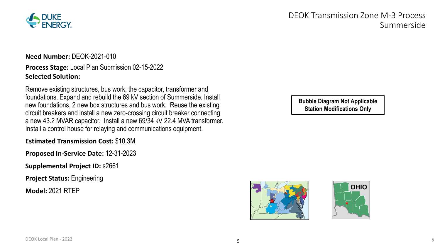

**Need Number:** DEOK-2021-010

#### **Process Stage:** Local Plan Submission 02-15-2022 **Selected Solution:**

Remove existing structures, bus work, the capacitor, transformer and foundations. Expand and rebuild the 69 kV section of Summerside. Install new foundations, 2 new box structures and bus work. Reuse the existing circuit breakers and install a new zero-crossing circuit breaker connecting a new 43.2 MVAR capacitor. Install a new 69/34 kV 22.4 MVA transformer. Install a control house for relaying and communications equipment.

**Estimated Transmission Cost:** \$10.3M

**Proposed In-Service Date:** 12-31-2023

**Supplemental Project ID:** s2661

**Project Status:** Engineering

**Model:** 2021 RTEP

# DEOK Transmission Zone M-3 Process Summerside

**Bubble Diagram Not Applicable Station Modifications Only**



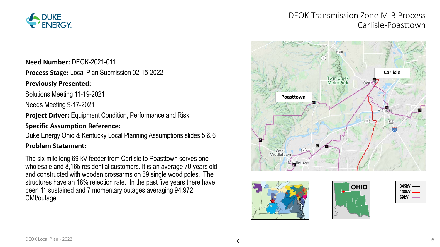

# DEOK Transmission Zone M-3 Process Carlisle-Poasttown

# **Carlisle Twin Creek MetroPark** Carlis **Poasttown** Frank  $(73)$ West<br>Middletown Middletown





| $345kV -$ |
|-----------|
| 138kV $-$ |
| 69kV      |
|           |

#### **Need Number:** DEOK-2021-011

**Process Stage:** Local Plan Submission 02-15-2022

#### **Previously Presented:**

Solutions Meeting 11-19-2021

Needs Meeting 9-17-2021

**Project Driver: Equipment Condition, Performance and Risk** 

#### **Specific Assumption Reference:**

Duke Energy Ohio & Kentucky Local Planning Assumptions slides 5 & 6

#### **Problem Statement:**

The six mile long 69 kV feeder from Carlisle to Poasttown serves one wholesale and 8,165 residential customers. It is an average 70 years old and constructed with wooden crossarms on 89 single wood poles. The structures have an 18% rejection rate. In the past five years there have been 11 sustained and 7 momentary outages averaging 94,972 CMI/outage.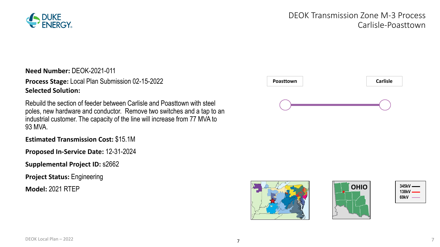

# DEOK Transmission Zone M-3 Process Carlisle-Poasttown

**Need Number:** DEOK-2021-011

**Process Stage:** Local Plan Submission 02-15-2022 **Selected Solution:**

Rebuild the section of feeder between Carlisle and Poasttown with steel poles, new hardware and conductor. Remove two switches and a tap to an industrial customer. The capacity of the line will increase from 77 MVA to 93 MVA.

**Estimated Transmission Cost:** \$15.1M

**Proposed In-Service Date:** 12-31-2024

**Supplemental Project ID:** s2662

**Project Status:** Engineering

**Model:** 2021 RTEP







| $345kV =$ |
|-----------|
| 138kV —   |
| 69kV      |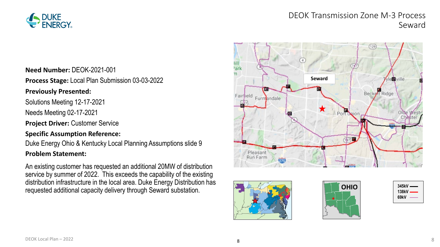

# DEOK Transmission Zone M-3 Process Seward

**Need Number:** DEOK-2021-001

**Process Stage:** Local Plan Submission 03-03-2022

#### **Previously Presented:**

Solutions Meeting 12-17-2021

Needs Meeting 02-17-2021

**Project Driver:** Customer Service

#### **Specific Assumption Reference:**

Duke Energy Ohio & Kentucky Local Planning Assumptions slide 9

#### **Problem Statement:**

An existing customer has requested an additional 20MW of distribution service by summer of 2022. This exceeds the capability of the existing distribution infrastructure in the local area. Duke Energy Distribution has requested additional capacity delivery through Seward substation.







| 345kV — |
|---------|
| 138kV — |
| 69kV    |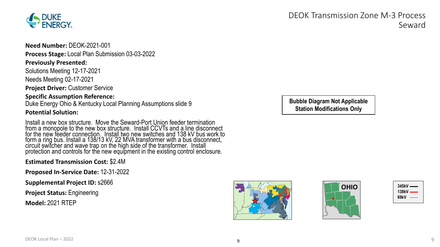

**Need Number:** DEOK-2021-001 **Process Stage:** Local Plan Submission 03-03-2022 **Previously Presented:**

Solutions Meeting 12-17-2021 Needs Meeting 02-17-2021

**Project Driver:** Customer Service

**Specific Assumption Reference:** Duke Energy Ohio & Kentucky Local Planning Assumptions slide 9

#### **Potential Solution:**

Install a new box structure. Move the Seward-Port Union feeder termination from a monopole to the new box structure. Install CCVTs and a line disconnect for the new feeder connection. Install two new switches and 138 kV bus work to form a ring bus. Install a 138/13 kV, 22 MVA transformer with a bus disconnect, circuit switcher and wave trap on the high side of the transformer. Install protection and controls for the new equipment in the existing control enclosure.

#### **Estimated Transmission Cost:** \$2.4M

**Proposed In-Service Date:** 12-31-2022

**Supplemental Project ID:** s2666

**Project Status:** Engineering

**Model:** 2021 RTEP

DEOK Transmission Zone M-3 Process Seward

**Bubble Diagram Not Applicable Station Modifications Only**





| 345kV — |  |
|---------|--|
| 138kV — |  |
| 69kV    |  |
|         |  |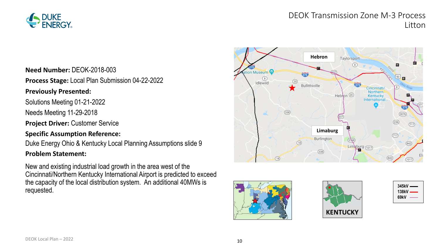

# DEOK Transmission Zone M-3 Process Litton

**Need Number:** DEOK-2018-003

**Process Stage:** Local Plan Submission 04-22-2022

#### **Previously Presented:**

Solutions Meeting 01-21-2022

Needs Meeting 11-29-2018

**Project Driver:** Customer Service

#### **Specific Assumption Reference:**

Duke Energy Ohio & Kentucky Local Planning Assumptions slide 9

#### **Problem Statement:**

New and existing industrial load growth in the area west of the Cincinnati/Northern Kentucky International Airport is predicted to exceed the capacity of the local distribution system. An additional 40MWs is requested.







| $345kV -$ |
|-----------|
| $138kV -$ |
| 69kV      |
|           |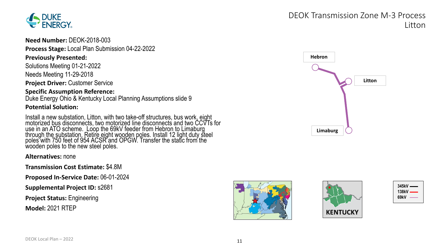

**Need Number:** DEOK-2018-003

**Process Stage:** Local Plan Submission 04-22-2022

#### **Previously Presented:**

Solutions Meeting 01-21-2022 Needs Meeting 11-29-2018

**Project Driver:** Customer Service

#### **Specific Assumption Reference:**

Duke Energy Ohio & Kentucky Local Planning Assumptions slide 9

#### **Potential Solution:**

Install a new substation, Litton, with two take-off structures, bus work, eight<br>motorized <u>bus</u> disconnects, two motorized line disconnects and two CCVTs for use in an ATO scheme. Loop the 69kV feeder from Hebron to Limaburg through the substation. Retire eight wooden poles. Install 12 light duty steel poles with 750 feet of 954 ACSR and OPGW. Transfer the static from the wooden poles to the new steel poles.

**Alternatives:** none

**Transmission Cost Estimate:** \$4.8M

**Proposed In-Service Date:** 06-01-2024

**Supplemental Project ID:** s2681

**Project Status:** Engineering

**Model:** 2021 RTEP

# **Hebron Litton**

**Limaburg**

DEOK Transmission Zone M-3 Process





| $345kV -$ |  |
|-----------|--|
| 138kV —   |  |
| 69kV      |  |
|           |  |

Litton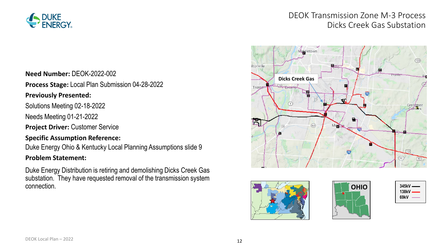

# DEOK Transmission Zone M-3 Process Dicks Creek Gas Substation

#### **Need Number:** DEOK-2022-002

**Process Stage:** Local Plan Submission 04-28-2022

#### **Previously Presented:**

Solutions Meeting 02-18-2022

Needs Meeting 01-21-2022

**Project Driver:** Customer Service

#### **Specific Assumption Reference:**

Duke Energy Ohio & Kentucky Local Planning Assumptions slide 9

#### **Problem Statement:**

Duke Energy Distribution is retiring and demolishing Dicks Creek Gas substation. They have requested removal of the transmission system connection.







| 345kV —   |
|-----------|
| 138kV $-$ |
| 69kV      |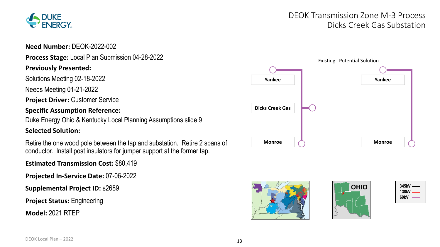

# DEOK Transmission Zone M-3 Process Dicks Creek Gas Substation

#### **Need Number:** DEOK-2022-002

#### **Process Stage:** Local Plan Submission 04-28-2022

#### **Previously Presented:**

Solutions Meeting 02-18-2022

Needs Meeting 01-21-2022

**Project Driver: Customer Service** 

#### **Specific Assumption Reference:**

Duke Energy Ohio & Kentucky Local Planning Assumptions slide 9

#### **Selected Solution:**

Retire the one wood pole between the tap and substation. Retire 2 spans of conductor. Install post insulators for jumper support at the former tap.

**Estimated Transmission Cost:** \$80,419

**Projected In-Service Date:** 07-06-2022

**Supplemental Project ID:** s2689

**Project Status:** Engineering

**Model:** 2021 RTEP







| $345kV =$ |  |
|-----------|--|
| 138kV —   |  |
| 69kV      |  |
|           |  |